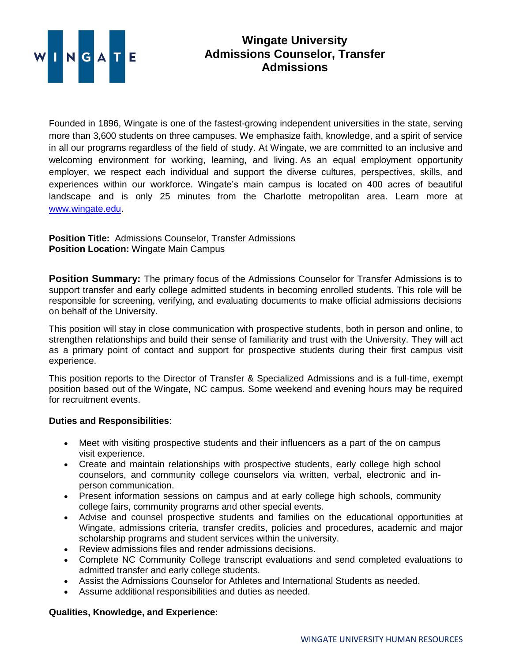

## **Wingate University Admissions Counselor, Transfer Admissions**

Founded in 1896, Wingate is one of the fastest-growing independent universities in the state, serving more than 3,600 students on three campuses. We emphasize faith, knowledge, and a spirit of service in all our programs regardless of the field of study. At Wingate, we are committed to an inclusive and welcoming environment for working, learning, and living. As an equal employment opportunity employer, we respect each individual and support the diverse cultures, perspectives, skills, and experiences within our workforce. Wingate's main campus is located on 400 acres of beautiful landscape and is only 25 minutes from the Charlotte metropolitan area. Learn more at [www.wingate.edu.](http://www.wingate/edu)

**Position Title:** Admissions Counselor, Transfer Admissions **Position Location:** Wingate Main Campus

**Position Summary:** The primary focus of the Admissions Counselor for Transfer Admissions is to support transfer and early college admitted students in becoming enrolled students. This role will be responsible for screening, verifying, and evaluating documents to make official admissions decisions on behalf of the University.

This position will stay in close communication with prospective students, both in person and online, to strengthen relationships and build their sense of familiarity and trust with the University. They will act as a primary point of contact and support for prospective students during their first campus visit experience.

This position reports to the Director of Transfer & Specialized Admissions and is a full-time, exempt position based out of the Wingate, NC campus. Some weekend and evening hours may be required for recruitment events.

## **Duties and Responsibilities**:

- Meet with visiting prospective students and their influencers as a part of the on campus visit experience.
- Create and maintain relationships with prospective students, early college high school counselors, and community college counselors via written, verbal, electronic and inperson communication.
- Present information sessions on campus and at early college high schools, community college fairs, community programs and other special events.
- Advise and counsel prospective students and families on the educational opportunities at Wingate, admissions criteria, transfer credits, policies and procedures, academic and major scholarship programs and student services within the university.
- Review admissions files and render admissions decisions.
- Complete NC Community College transcript evaluations and send completed evaluations to admitted transfer and early college students.
- Assist the Admissions Counselor for Athletes and International Students as needed.
- Assume additional responsibilities and duties as needed.

## **Qualities, Knowledge, and Experience:**